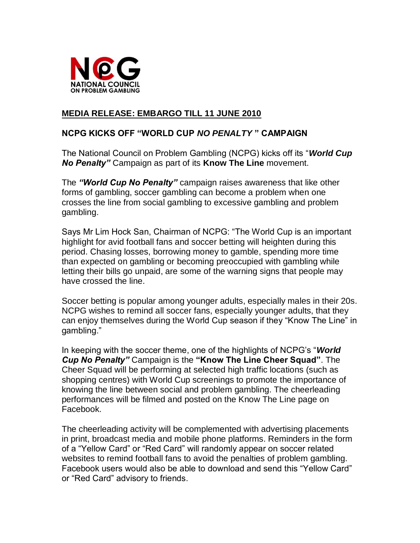

## **MEDIA RELEASE: EMBARGO TILL 11 JUNE 2010**

### **NCPG KICKS OFF "WORLD CUP** *NO PENALTY* **" CAMPAIGN**

The National Council on Problem Gambling (NCPG) kicks off its "*World Cup No Penalty"* Campaign as part of its **Know The Line** movement.

The *"World Cup No Penalty"* campaign raises awareness that like other forms of gambling, soccer gambling can become a problem when one crosses the line from social gambling to excessive gambling and problem gambling.

Says Mr Lim Hock San, Chairman of NCPG: "The World Cup is an important highlight for avid football fans and soccer betting will heighten during this period. Chasing losses, borrowing money to gamble, spending more time than expected on gambling or becoming preoccupied with gambling while letting their bills go unpaid, are some of the warning signs that people may have crossed the line.

Soccer betting is popular among younger adults, especially males in their 20s. NCPG wishes to remind all soccer fans, especially younger adults, that they can enjoy themselves during the World Cup season if they "Know The Line" in gambling."

In keeping with the soccer theme, one of the highlights of NCPG's "*World Cup No Penalty"* Campaign is the **"Know The Line Cheer Squad"**. The Cheer Squad will be performing at selected high traffic locations (such as shopping centres) with World Cup screenings to promote the importance of knowing the line between social and problem gambling. The cheerleading performances will be filmed and posted on the Know The Line page on Facebook.

The cheerleading activity will be complemented with advertising placements in print, broadcast media and mobile phone platforms. Reminders in the form of a "Yellow Card" or "Red Card" will randomly appear on soccer related websites to remind football fans to avoid the penalties of problem gambling. Facebook users would also be able to download and send this "Yellow Card" or "Red Card" advisory to friends.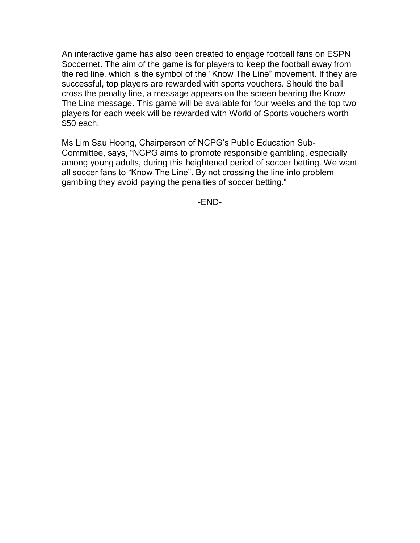An interactive game has also been created to engage football fans on ESPN Soccernet. The aim of the game is for players to keep the football away from the red line, which is the symbol of the "Know The Line" movement. If they are successful, top players are rewarded with sports vouchers. Should the ball cross the penalty line, a message appears on the screen bearing the Know The Line message. This game will be available for four weeks and the top two players for each week will be rewarded with World of Sports vouchers worth \$50 each.

Ms Lim Sau Hoong, Chairperson of NCPG's Public Education Sub-Committee, says, "NCPG aims to promote responsible gambling, especially among young adults, during this heightened period of soccer betting. We want all soccer fans to "Know The Line". By not crossing the line into problem gambling they avoid paying the penalties of soccer betting."

-END-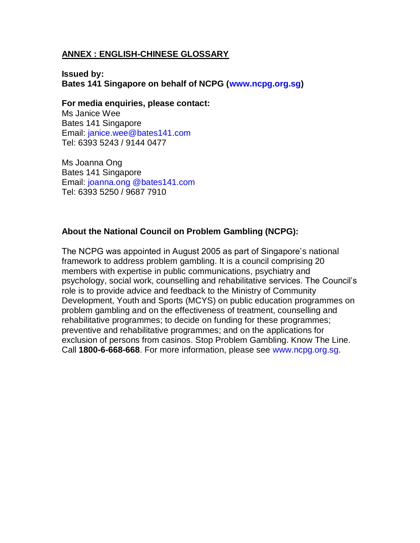#### **ANNEX : ENGLISH-CHINESE GLOSSARY**

**Issued by: Bates 141 Singapore on behalf of NCPG (www.ncpg.org.sg)**

**For media enquiries, please contact:**

Ms Janice Wee Bates 141 Singapore Email: janice.wee@bates141.com Tel: 6393 5243 / 9144 0477

Ms Joanna Ong Bates 141 Singapore Email: joanna.ong @bates141.com Tel: 6393 5250 / 9687 7910

#### **About the National Council on Problem Gambling (NCPG):**

The NCPG was appointed in August 2005 as part of Singapore's national framework to address problem gambling. It is a council comprising 20 members with expertise in public communications, psychiatry and psychology, social work, counselling and rehabilitative services. The Council's role is to provide advice and feedback to the Ministry of Community Development, Youth and Sports (MCYS) on public education programmes on problem gambling and on the effectiveness of treatment, counselling and rehabilitative programmes; to decide on funding for these programmes; preventive and rehabilitative programmes; and on the applications for exclusion of persons from casinos. Stop Problem Gambling. Know The Line. Call **1800-6-668-668**. For more information, please see www.ncpg.org.sg.